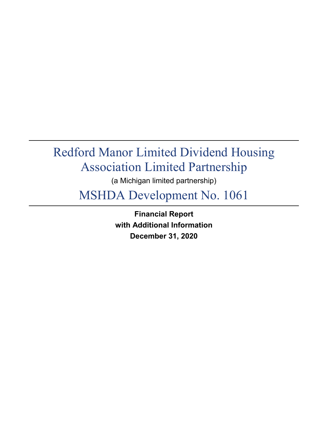# Redford Manor Limited Dividend Housing Association Limited Partnership

(a Michigan limited partnership)

MSHDA Development No. 1061

**Financial Report with Additional Information December 31, 2020**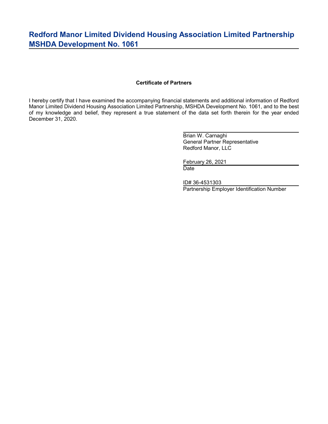### **Certificate of Partners**

I hereby certify that I have examined the accompanying financial statements and additional information of Redford Manor Limited Dividend Housing Association Limited Partnership, MSHDA Development No. 1061, and to the best of my knowledge and belief, they represent a true statement of the data set forth therein for the year ended December 31, 2020.

> Brian W. Carnaghi General Partner Representative Redford Manor, LLC

February 26, 2021 **Date** 

ID# 36-4531303

Partnership Employer Identification Number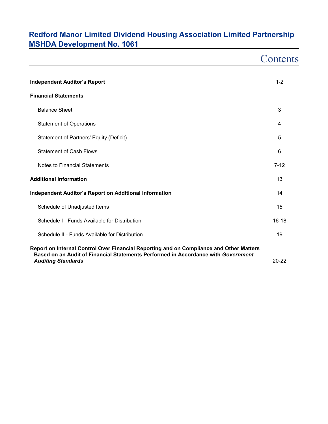|                                                                                                                                                                              | Contents  |
|------------------------------------------------------------------------------------------------------------------------------------------------------------------------------|-----------|
| <b>Independent Auditor's Report</b>                                                                                                                                          | $1 - 2$   |
| <b>Financial Statements</b>                                                                                                                                                  |           |
| <b>Balance Sheet</b>                                                                                                                                                         | 3         |
| <b>Statement of Operations</b>                                                                                                                                               | 4         |
| <b>Statement of Partners' Equity (Deficit)</b>                                                                                                                               | 5         |
| <b>Statement of Cash Flows</b>                                                                                                                                               | 6         |
| <b>Notes to Financial Statements</b>                                                                                                                                         | $7 - 12$  |
| <b>Additional Information</b>                                                                                                                                                | 13        |
| <b>Independent Auditor's Report on Additional Information</b>                                                                                                                | 14        |
| Schedule of Unadjusted Items                                                                                                                                                 | 15        |
| Schedule I - Funds Available for Distribution                                                                                                                                | $16 - 18$ |
| Schedule II - Funds Available for Distribution                                                                                                                               | 19        |
| Report on Internal Control Over Financial Reporting and on Compliance and Other Matters<br>Based on an Audit of Financial Statements Performed in Accordance with Government |           |
| <b>Auditing Standards</b>                                                                                                                                                    | $20 - 22$ |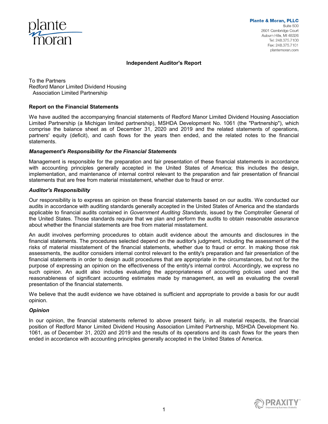

#### **Independent Auditor's Report**

To the Partners Redford Manor Limited Dividend Housing Association Limited Partnership

#### **Report on the Financial Statements**

We have audited the accompanying financial statements of Redford Manor Limited Dividend Housing Association Limited Partnership (a Michigan limited partnership), MSHDA Development No. 1061 (the "Partnership"), which comprise the balance sheet as of December 31, 2020 and 2019 and the related statements of operations, partners' equity (deficit), and cash flows for the years then ended, and the related notes to the financial statements.

#### *Management's Responsibility for the Financial Statements*

Management is responsible for the preparation and fair presentation of these financial statements in accordance with accounting principles generally accepted in the United States of America; this includes the design, implementation, and maintenance of internal control relevant to the preparation and fair presentation of financial statements that are free from material misstatement, whether due to fraud or error.

#### *Auditor's Responsibility*

Our responsibility is to express an opinion on these financial statements based on our audits. We conducted our audits in accordance with auditing standards generally accepted in the United States of America and the standards applicable to financial audits contained in *Government Auditing Standards*, issued by the Comptroller General of the United States. Those standards require that we plan and perform the audits to obtain reasonable assurance about whether the financial statements are free from material misstatement.

An audit involves performing procedures to obtain audit evidence about the amounts and disclosures in the financial statements. The procedures selected depend on the auditor's judgment, including the assessment of the risks of material misstatement of the financial statements, whether due to fraud or error. In making those risk assessments, the auditor considers internal control relevant to the entity's preparation and fair presentation of the financial statements in order to design audit procedures that are appropriate in the circumstances, but not for the purpose of expressing an opinion on the effectiveness of the entity's internal control. Accordingly, we express no such opinion. An audit also includes evaluating the appropriateness of accounting policies used and the reasonableness of significant accounting estimates made by management, as well as evaluating the overall presentation of the financial statements.

We believe that the audit evidence we have obtained is sufficient and appropriate to provide a basis for our audit opinion.

### *Opinion*

In our opinion, the financial statements referred to above present fairly, in all material respects, the financial position of Redford Manor Limited Dividend Housing Association Limited Partnership, MSHDA Development No. 1061, as of December 31, 2020 and 2019 and the results of its operations and its cash flows for the years then ended in accordance with accounting principles generally accepted in the United States of America.

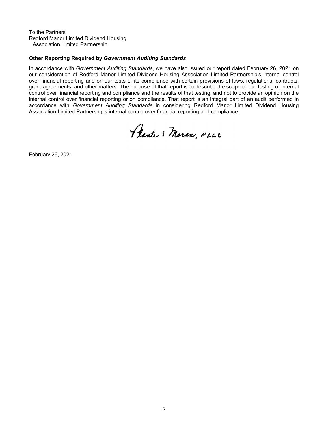To the Partners Redford Manor Limited Dividend Housing Association Limited Partnership

### **Other Reporting Required by** *Government Auditing Standards*

In accordance with *Government Auditing Standards*, we have also issued our report dated February 26, 2021 on our consideration of Redford Manor Limited Dividend Housing Association Limited Partnership's internal control over financial reporting and on our tests of its compliance with certain provisions of laws, regulations, contracts, grant agreements, and other matters. The purpose of that report is to describe the scope of our testing of internal control over financial reporting and compliance and the results of that testing, and not to provide an opinion on the internal control over financial reporting or on compliance. That report is an integral part of an audit performed in accordance with *Government Auditing Standards* in considering Redford Manor Limited Dividend Housing Association Limited Partnership's internal control over financial reporting and compliance.

Plante & Moran, PLLC

February 26, 2021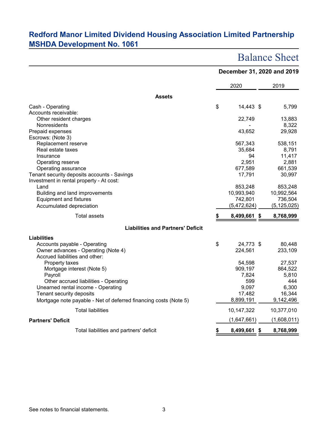# Balance Sheet

|                                                                  | December 31, 2020 and 2019 |                 |               |
|------------------------------------------------------------------|----------------------------|-----------------|---------------|
|                                                                  |                            | 2020            | 2019          |
| <b>Assets</b>                                                    |                            |                 |               |
| Cash - Operating                                                 | \$                         | 14,443 \$       | 5,799         |
| Accounts receivable:                                             |                            |                 |               |
| Other resident charges                                           |                            | 22,749          | 13,883        |
| Nonresidents                                                     |                            |                 | 8,322         |
| Prepaid expenses                                                 |                            | 43,652          | 29,928        |
| Escrows: (Note 3)                                                |                            |                 |               |
| Replacement reserve                                              |                            | 567,343         | 538,151       |
| Real estate taxes                                                |                            | 35,684          | 8,791         |
| Insurance                                                        |                            | 94              | 11,417        |
| Operating reserve                                                |                            | 2,951           | 2,881         |
| Operating assurance                                              |                            | 677,589         | 661,539       |
| Tenant security deposits accounts - Savings                      |                            | 17,791          | 30,997        |
| Investment in rental property - At cost:                         |                            |                 |               |
| Land                                                             |                            | 853,248         | 853,248       |
| Building and land improvements                                   |                            | 10,993,940      | 10,992,564    |
| <b>Equipment and fixtures</b>                                    |                            | 742,801         | 736,504       |
| Accumulated depreciation                                         |                            | (5,472,624)     | (5, 125, 025) |
| <b>Total assets</b>                                              | S                          | 8,499,661<br>\$ | 8,768,999     |
| <b>Liabilities and Partners' Deficit</b>                         |                            |                 |               |
|                                                                  |                            |                 |               |
| <b>Liabilities</b>                                               |                            |                 |               |
| Accounts payable - Operating                                     | \$                         | 24,773 \$       | 80,448        |
| Owner advances - Operating (Note 4)                              |                            | 224,561         | 233,109       |
| Accrued liabilities and other:                                   |                            |                 |               |
| Property taxes                                                   |                            | 54,598          | 27,537        |
| Mortgage interest (Note 5)                                       |                            | 909,197         | 864,522       |
| Payroll                                                          |                            | 7,824           | 5,810         |
| Other accrued liabilities - Operating                            |                            | 599             | 444           |
| Unearned rental income - Operating                               |                            | 9,097           | 6,300         |
| Tenant security deposits                                         |                            | 17,482          | 16,344        |
| Mortgage note payable - Net of deferred financing costs (Note 5) |                            | 8,899,191       | 9,142,496     |
| <b>Total liabilities</b>                                         |                            | 10,147,322      | 10,377,010    |
| <b>Partners' Deficit</b>                                         |                            | (1,647,661)     | (1,608,011)   |
| Total liabilities and partners' deficit                          | \$                         | 8,499,661 \$    | 8,768,999     |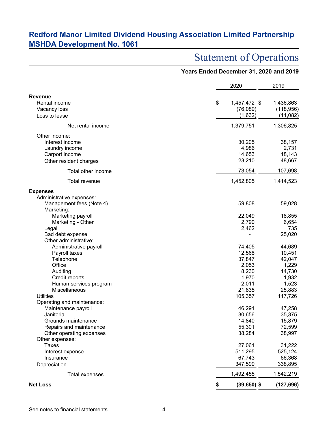# Statement of Operations

# **Years Ended December 31, 2020 and 2019**

|                                   | 2020                           | 2019                    |
|-----------------------------------|--------------------------------|-------------------------|
| Revenue                           |                                |                         |
| Rental income<br>Vacancy loss     | \$<br>1,457,472 \$<br>(76,089) | 1,436,863<br>(118, 956) |
| Loss to lease                     | (1,632)                        | (11,082)                |
| Net rental income                 | 1,379,751                      | 1,306,825               |
| Other income:                     |                                |                         |
| Interest income                   | 30,205                         | 38,157                  |
| Laundry income                    | 4,986                          | 2,731                   |
| Carport income                    | 14,653                         | 18,143                  |
| Other resident charges            | 23,210                         | 48,667                  |
| Total other income                | 73,054                         | 107,698                 |
| <b>Total revenue</b>              | 1,452,805                      | 1,414,523               |
| <b>Expenses</b>                   |                                |                         |
| Administrative expenses:          |                                |                         |
| Management fees (Note 4)          | 59,808                         | 59,028                  |
| Marketing:                        |                                |                         |
| Marketing payroll                 | 22,049                         | 18,855                  |
| Marketing - Other                 | 2,790                          | 6,654                   |
| Legal                             | 2,462                          | 735                     |
| Bad debt expense                  |                                | 25,020                  |
| Other administrative:             |                                |                         |
| Administrative payroll            | 74,405                         | 44,689                  |
| Payroll taxes                     | 12,568                         | 10,451                  |
| Telephone                         | 37,847                         | 42,047                  |
| Office                            | 2,053                          | 1,229                   |
| Auditing                          | 8,230                          | 14,730                  |
| Credit reports                    | 1,970                          | 1,932                   |
| Human services program            | 2,011                          | 1,523                   |
| Miscellaneous                     | 21,835                         | 25,883                  |
| <b>Utilities</b>                  | 105,357                        | 117,726                 |
| Operating and maintenance:        |                                |                         |
| Maintenance payroll<br>Janitorial | 46,291<br>30,656               | 47,258<br>35,375        |
| Grounds maintenance               | 14,840                         | 15,879                  |
| Repairs and maintenance           | 55,301                         | 72,599                  |
| Other operating expenses          | 38,284                         | 38,997                  |
| Other expenses:                   |                                |                         |
| <b>Taxes</b>                      | 27,061                         | 31,222                  |
| Interest expense                  | 511,295                        | 525,124                 |
| Insurance                         | 67,743                         | 66,368                  |
| Depreciation                      | 347,599                        | 338,895                 |
|                                   |                                |                         |
| <b>Total expenses</b>             | 1,492,455                      | 1,542,219               |
| <b>Net Loss</b>                   | $(39,650)$ \$                  | (127, 696)              |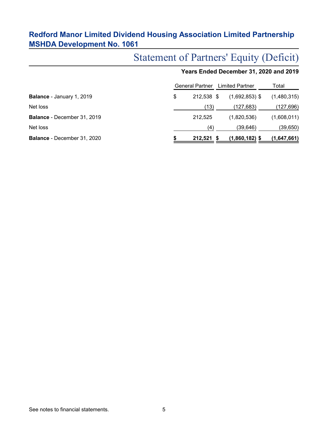# Statement of Partners' Equity (Deficit)

# **Years Ended December 31, 2020 and 2019**

|                                  |    | <b>General Partner</b> | Limited Partner  | Total       |
|----------------------------------|----|------------------------|------------------|-------------|
| <b>Balance</b> - January 1, 2019 | \$ | 212,538 \$             | $(1,692,853)$ \$ | (1,480,315) |
| Net loss                         |    | (13)                   | (127,683)        | (127,696)   |
| Balance - December 31, 2019      |    | 212,525                | (1,820,536)      | (1,608,011) |
| Net loss                         |    | (4)                    | (39,646)         | (39, 650)   |
| Balance - December 31, 2020      | S  | 212.521 \$             | $(1,860,182)$ \$ | (1,647,661) |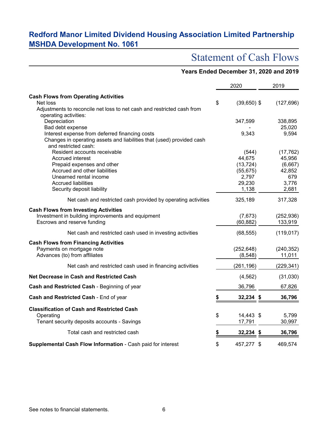# Statement of Cash Flows

|                                                                                               |                     | Years Ended December 31, 2020 and 2019 |  |
|-----------------------------------------------------------------------------------------------|---------------------|----------------------------------------|--|
|                                                                                               | 2020                | 2019                                   |  |
| <b>Cash Flows from Operating Activities</b>                                                   |                     |                                        |  |
| Net loss                                                                                      | \$<br>$(39,650)$ \$ | (127, 696)                             |  |
| Adjustments to reconcile net loss to net cash and restricted cash from                        |                     |                                        |  |
| operating activities:                                                                         |                     |                                        |  |
| Depreciation                                                                                  | 347,599             | 338,895                                |  |
| Bad debt expense<br>Interest expense from deferred financing costs                            |                     | 25,020<br>9,594                        |  |
| Changes in operating assets and liabilities that (used) provided cash<br>and restricted cash: | 9,343               |                                        |  |
| Resident accounts receivable                                                                  | (544)               | (17, 762)                              |  |
| Accrued interest                                                                              | 44,675              | 45,956                                 |  |
| Prepaid expenses and other                                                                    | (13, 724)           | (6,667)                                |  |
| Accrued and other liabilities                                                                 | (55, 675)           | 42,852                                 |  |
| Unearned rental income                                                                        | 2,797               | 679                                    |  |
| <b>Accrued liabilities</b>                                                                    | 29,230              | 3,776                                  |  |
| Security deposit liability                                                                    | 1,138               | 2,681                                  |  |
| Net cash and restricted cash provided by operating activities                                 | 325,189             | 317,328                                |  |
| <b>Cash Flows from Investing Activities</b>                                                   |                     |                                        |  |
| Investment in building improvements and equipment                                             | (7,673)             | (252, 936)                             |  |
| Escrows and reserve funding                                                                   | (60, 882)           | 133,919                                |  |
| Net cash and restricted cash used in investing activities                                     | (68, 555)           | (119, 017)                             |  |
| <b>Cash Flows from Financing Activities</b>                                                   |                     |                                        |  |
| Payments on mortgage note                                                                     | (252, 648)          | (240, 352)                             |  |
| Advances (to) from affiliates                                                                 | (8, 548)            | 11,011                                 |  |
| Net cash and restricted cash used in financing activities                                     | (261, 196)          | (229, 341)                             |  |
| Net Decrease in Cash and Restricted Cash                                                      | (4, 562)            | (31,030)                               |  |
| Cash and Restricted Cash - Beginning of year                                                  | 36,796              | 67,826                                 |  |
| Cash and Restricted Cash - End of year                                                        | \$<br>32,234 \$     | 36,796                                 |  |
| <b>Classification of Cash and Restricted Cash</b>                                             |                     |                                        |  |
| Operating                                                                                     | \$<br>14,443 \$     | 5.799                                  |  |
| Tenant security deposits accounts - Savings                                                   | 17,791              | 30,997                                 |  |
| Total cash and restricted cash                                                                | 32,234 \$           | 36,796                                 |  |
| Supplemental Cash Flow Information - Cash paid for interest                                   | \$<br>457,277 \$    | 469,574                                |  |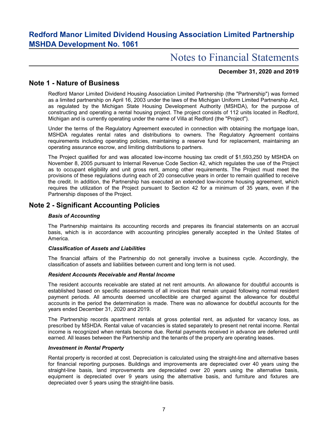# Notes to Financial Statements

# **December 31, 2020 and 2019**

# **Note 1 - Nature of Business**

Redford Manor Limited Dividend Housing Association Limited Partnership (the "Partnership") was formed as a limited partnership on April 16, 2003 under the laws of the Michigan Uniform Limited Partnership Act, as regulated by the Michigan State Housing Development Authority (MSHDA), for the purpose of constructing and operating a rental housing project. The project consists of 112 units located in Redford, Michigan and is currently operating under the name of Villa at Redford (the "Project").

Under the terms of the Regulatory Agreement executed in connection with obtaining the mortgage loan, MSHDA regulates rental rates and distributions to owners. The Regulatory Agreement contains requirements including operating policies, maintaining a reserve fund for replacement, maintaining an operating assurance escrow, and limiting distributions to partners.

The Project qualified for and was allocated low-income housing tax credit of \$1,593,250 by MSHDA on November 8, 2005 pursuant to Internal Revenue Code Section 42, which regulates the use of the Project as to occupant eligibility and unit gross rent, among other requirements. The Project must meet the provisions of these regulations during each of 20 consecutive years in order to remain qualified to receive the credit. In addition, the Partnership has executed an extended low-income housing agreement, which requires the utilization of the Project pursuant to Section 42 for a minimum of 35 years, even if the Partnership disposes of the Project.

# **Note 2 - Significant Accounting Policies**

### *Basis of Accounting*

The Partnership maintains its accounting records and prepares its financial statements on an accrual basis, which is in accordance with accounting principles generally accepted in the United States of America.

#### *Classification of Assets and Liabilities*

The financial affairs of the Partnership do not generally involve a business cycle. Accordingly, the classification of assets and liabilities between current and long term is not used.

# *Resident Accounts Receivable and Rental Income*

The resident accounts receivable are stated at net rent amounts. An allowance for doubtful accounts is established based on specific assessments of all invoices that remain unpaid following normal resident payment periods. All amounts deemed uncollectible are charged against the allowance for doubtful accounts in the period the determination is made. There was no allowance for doubtful accounts for the years ended December 31, 2020 and 2019.

The Partnership records apartment rentals at gross potential rent, as adjusted for vacancy loss, as prescribed by MSHDA. Rental value of vacancies is stated separately to present net rental income. Rental income is recognized when rentals become due. Rental payments received in advance are deferred until earned. All leases between the Partnership and the tenants of the property are operating leases.

### *Investment in Rental Property*

Rental property is recorded at cost. Depreciation is calculated using the straight-line and alternative bases for financial reporting purposes. Buildings and improvements are depreciated over 40 years using the straight-line basis, land improvements are depreciated over 20 years using the alternative basis, equipment is depreciated over 9 years using the alternative basis, and furniture and fixtures are depreciated over 5 years using the straight-line basis.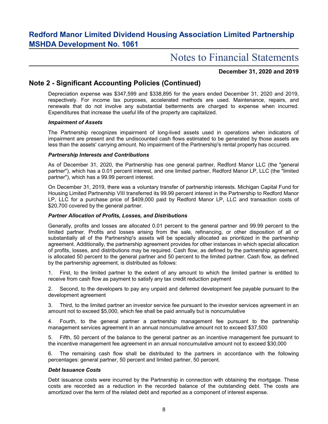# Notes to Financial Statements

## **December 31, 2020 and 2019**

# **Note 2 - Significant Accounting Policies (Continued)**

Depreciation expense was \$347,599 and \$338,895 for the years ended December 31, 2020 and 2019, respectively. For income tax purposes, accelerated methods are used. Maintenance, repairs, and renewals that do not involve any substantial betterments are charged to expense when incurred. Expenditures that increase the useful life of the property are capitalized.

### *Impairment of Assets*

The Partnership recognizes impairment of long-lived assets used in operations when indicators of impairment are present and the undiscounted cash flows estimated to be generated by those assets are less than the assets' carrying amount. No impairment of the Partnership's rental property has occurred.

### *Partnership Interests and Contributions*

As of December 31, 2020, the Partnership has one general partner, Redford Manor LLC (the "general partner"), which has a 0.01 percent interest, and one limited partner, Redford Manor LP, LLC (the "limited partner"), which has a 99.99 percent interest.

On December 31, 2019, there was a voluntary transfer of partnership interests. Michigan Capital Fund for Housing Limited Partnership VIII transferred its 99.99 percent interest in the Partnership to Redford Manor LP, LLC for a purchase price of \$409,000 paid by Redford Manor LP, LLC and transaction costs of \$20,700 covered by the general partner.

### *Partner Allocation of Profits, Losses, and Distributions*

Generally, profits and losses are allocated 0.01 percent to the general partner and 99.99 percent to the limited partner. Profits and losses arising from the sale, refinancing, or other disposition of all or substantially all of the Partnership's assets will be specially allocated as prioritized in the partnership agreement. Additionally, the partnership agreement provides for other instances in which special allocation of profits, losses, and distributions may be required. Cash flow, as defined by the partnership agreement, is allocated 50 percent to the general partner and 50 percent to the limited partner. Cash flow, as defined by the partnership agreement, is distributed as follows:

1. First, to the limited partner to the extent of any amount to which the limited partner is entitled to receive from cash flow as payment to satisfy any tax credit reduction payment

2. Second, to the developers to pay any unpaid and deferred development fee payable pursuant to the development agreement

3. Third, to the limited partner an investor service fee pursuant to the investor services agreement in an amount not to exceed \$5,000, which fee shall be paid annually but is noncumulative

4. Fourth, to the general partner a partnership management fee pursuant to the partnership management services agreement in an annual noncumulative amount not to exceed \$37,500

5. Fifth, 50 percent of the balance to the general partner as an incentive management fee pursuant to the incentive management fee agreement in an annual noncumulative amount not to exceed \$30,000

6. The remaining cash flow shall be distributed to the partners in accordance with the following percentages: general partner, 50 percent and limited partner, 50 percent.

### *Debt Issuance Costs*

Debt issuance costs were incurred by the Partnership in connection with obtaining the mortgage. These costs are recorded as a reduction in the recorded balance of the outstanding debt. The costs are amortized over the term of the related debt and reported as a component of interest expense.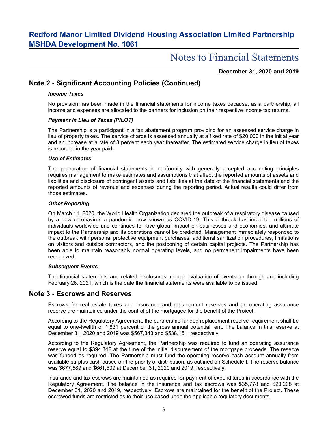# Notes to Financial Statements

## **December 31, 2020 and 2019**

# **Note 2 - Significant Accounting Policies (Continued)**

### *Income Taxes*

No provision has been made in the financial statements for income taxes because, as a partnership, all income and expenses are allocated to the partners for inclusion on their respective income tax returns.

### *Payment in Lieu of Taxes (PILOT)*

The Partnership is a participant in a tax abatement program providing for an assessed service charge in lieu of property taxes. The service charge is assessed annually at a fixed rate of \$20,000 in the initial year and an increase at a rate of 3 percent each year thereafter. The estimated service charge in lieu of taxes is recorded in the year paid.

### *Use of Estimates*

The preparation of financial statements in conformity with generally accepted accounting principles requires management to make estimates and assumptions that affect the reported amounts of assets and liabilities and disclosure of contingent assets and liabilities at the date of the financial statements and the reported amounts of revenue and expenses during the reporting period. Actual results could differ from those estimates.

#### *Other Reporting*

On March 11, 2020, the World Health Organization declared the outbreak of a respiratory disease caused by a new coronavirus a pandemic, now known as COVID-19. This outbreak has impacted millions of individuals worldwide and continues to have global impact on businesses and economies, and ultimate impact to the Partnership and its operations cannot be predicted. Management immediately responded to the outbreak with personal protective equipment purchases, additional sanitization procedures, limitations on visitors and outside contractors, and the postponing of certain capital projects. The Partnership has been able to maintain reasonably normal operating levels, and no permanent impairments have been recognized.

### *Subsequent Events*

The financial statements and related disclosures include evaluation of events up through and including February 26, 2021, which is the date the financial statements were available to be issued.

# **Note 3 - Escrows and Reserves**

Escrows for real estate taxes and insurance and replacement reserves and an operating assurance reserve are maintained under the control of the mortgagee for the benefit of the Project.

According to the Regulatory Agreement, the partnership-funded replacement reserve requirement shall be equal to one-twelfth of 1.831 percent of the gross annual potential rent. The balance in this reserve at December 31, 2020 and 2019 was \$567,343 and \$538,151, respectively.

According to the Regulatory Agreement, the Partnership was required to fund an operating assurance reserve equal to \$394,342 at the time of the initial disbursement of the mortgage proceeds. The reserve was funded as required. The Partnership must fund the operating reserve cash account annually from available surplus cash based on the priority of distribution, as outlined on Schedule I. The reserve balance was \$677,589 and \$661,539 at December 31, 2020 and 2019, respectively.

Insurance and tax escrows are maintained as required for payment of expenditures in accordance with the Regulatory Agreement. The balance in the insurance and tax escrows was \$35,778 and \$20,208 at December 31, 2020 and 2019, respectively. Escrows are maintained for the benefit of the Project. These escrowed funds are restricted as to their use based upon the applicable regulatory documents.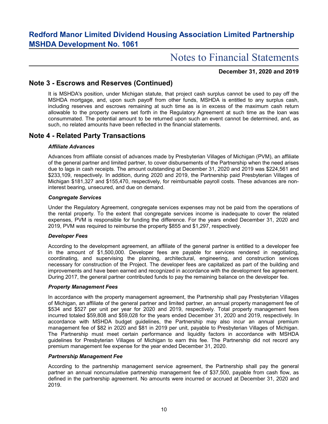# Notes to Financial Statements

# **December 31, 2020 and 2019**

# **Note 3 - Escrows and Reserves (Continued)**

It is MSHDA's position, under Michigan statute, that project cash surplus cannot be used to pay off the MSHDA mortgage, and, upon such payoff from other funds, MSHDA is entitled to any surplus cash, including reserves and escrows remaining at such time as is in excess of the maximum cash return allowable to the property owners set forth in the Regulatory Agreement at such time as the loan was consummated. The potential amount to be returned upon such an event cannot be determined, and, as such, no related amounts have been reflected in the financial statements.

# **Note 4 - Related Party Transactions**

### *Affiliate Advances*

Advances from affiliate consist of advances made by Presbyterian Villages of Michigan (PVM), an affiliate of the general partner and limited partner, to cover disbursements of the Partnership when the need arises due to lags in cash receipts. The amount outstanding at December 31, 2020 and 2019 was \$224,561 and \$233,109, respectively. In addition, during 2020 and 2019, the Partnership paid Presbyterian Villages of Michigan \$181,327 and \$155,470, respectively, for reimbursable payroll costs. These advances are noninterest bearing, unsecured, and due on demand.

### *Congregate Services*

Under the Regulatory Agreement, congregate services expenses may not be paid from the operations of the rental property. To the extent that congregate services income is inadequate to cover the related expenses, PVM is responsible for funding the difference. For the years ended December 31, 2020 and 2019, PVM was required to reimburse the property \$855 and \$1,297, respectively.

### *Developer Fees*

According to the development agreement, an affiliate of the general partner is entitled to a developer fee in the amount of \$1,500,000. Developer fees are payable for services rendered in negotiating, coordinating, and supervising the planning, architectural, engineering, and construction services necessary for construction of the Project. The developer fees are capitalized as part of the building and improvements and have been earned and recognized in accordance with the development fee agreement. During 2017, the general partner contributed funds to pay the remaining balance on the developer fee.

### *Property Management Fees*

In accordance with the property management agreement, the Partnership shall pay Presbyterian Villages of Michigan, an affiliate of the general partner and limited partner, an annual property management fee of \$534 and \$527 per unit per year for 2020 and 2019, respectively. Total property management fees incurred totaled \$59,808 and \$59,028 for the years ended December 31, 2020 and 2019, respectively. In accordance with MSHDA budget guidelines, the Partnership may also incur an annual premium management fee of \$82 in 2020 and \$81 in 2019 per unit, payable to Presbyterian Villages of Michigan. The Partnership must meet certain performance and liquidity factors in accordance with MSHDA guidelines for Presbyterian Villages of Michigan to earn this fee. The Partnership did not record any premium management fee expense for the year ended December 31, 2020.

### *Partnership Management Fee*

According to the partnership management service agreement, the Partnership shall pay the general partner an annual noncumulative partnership management fee of \$37,500, payable from cash flow, as defined in the partnership agreement. No amounts were incurred or accrued at December 31, 2020 and 2019.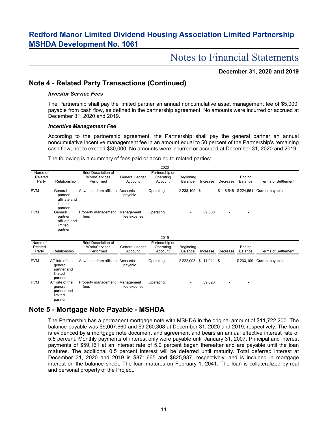# Notes to Financial Statements

## **December 31, 2020 and 2019**

# **Note 4 - Related Party Transactions (Continued)**

### *Investor Service Fees*

The Partnership shall pay the limited partner an annual noncumulative asset management fee of \$5,000, payable from cash flow, as defined in the partnership agreement. No amounts were incurred or accrued at December 31, 2020 and 2019.

#### *Incentive Management Fee*

According to the partnership agreement, the Partnership shall pay the general partner an annual noncumulative incentive management fee in an amount equal to 50 percent of the Partnership's remaining cash flow, not to exceed \$30,000. No amounts were incurred or accrued at December 31, 2020 and 2019.

The following is a summary of fees paid or accrued to related parties:

|                             | 2020                                                             |                                                           |                           |                                        |                             |              |          |                          |                            |
|-----------------------------|------------------------------------------------------------------|-----------------------------------------------------------|---------------------------|----------------------------------------|-----------------------------|--------------|----------|--------------------------|----------------------------|
| Name of<br>Related<br>Party | Relationship                                                     | <b>Brief Description of</b><br>Work/Services<br>Performed | General Ledger<br>Account | Partnership or<br>Operating<br>Account | Beginning<br>Balance        | Increase     | Decrease | Ending<br>Balance        | <b>Terms of Settlement</b> |
| <b>PVM</b>                  | General<br>partner<br>affiliate and<br>limited<br>partner        | Advances from affiliate Accounts                          | payable                   | Operating                              | $$233,109$ \$               |              | \$       | 8,548 \$224,561          | Current payable            |
| <b>PVM</b>                  | General<br>partner<br>affiliate and<br>limited<br>partner        | Property management<br>fees                               | Management<br>fee expense | Operating                              |                             | 59,808       |          |                          |                            |
|                             |                                                                  |                                                           |                           | 2019                                   |                             |              |          |                          |                            |
| Name of<br>Related<br>Party | Relationship                                                     | <b>Brief Description of</b><br>Work/Services<br>Performed | General Ledger<br>Account | Partnership or<br>Operating<br>Account | Beginning<br><b>Balance</b> | Increase     | Decrease | Ending<br><b>Balance</b> | <b>Terms of Settlement</b> |
| <b>PVM</b>                  | Affiliate of the<br>qeneral<br>partner and<br>limited<br>partner | Advances from affiliate Accounts                          | payable                   | Operating                              | \$222,098                   | $$11,011$ \$ |          | \$233,109                | Current payable            |
| <b>PVM</b>                  | Affiliate of the<br>qeneral<br>partner and<br>limited<br>partner | Property management<br>fees                               | Management<br>fee expense | Operating                              |                             | 59,028       |          |                          |                            |

# **Note 5 - Mortgage Note Payable - MSHDA**

The Partnership has a permanent mortgage note with MSHDA in the original amount of \$11,722,200. The balance payable was \$9,007,660 and \$9,260,308 at December 31, 2020 and 2019, respectively. The loan is evidenced by a mortgage note document and agreement and bears an annual effective interest rate of 5.5 percent. Monthly payments of interest only were payable until January 31, 2007. Principal and interest payments of \$59,161 at an interest rate of 5.0 percent began thereafter and are payable until the loan matures. The additional 0.5 percent interest will be deferred until maturity. Total deferred interest at December 31, 2020 and 2019 is \$871,665 and \$825,937, respectively, and is included in mortgage interest on the balance sheet. The loan matures on February 1, 2041. The loan is collateralized by real and personal property of the Project.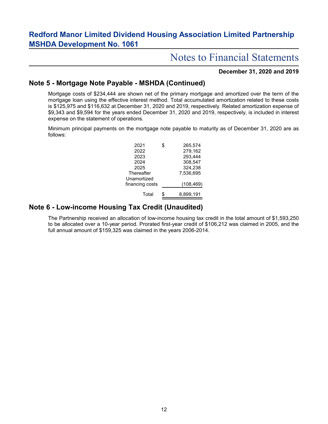# Notes to Financial Statements

## **December 31, 2020 and 2019**

# **Note 5 - Mortgage Note Payable - MSHDA (Continued)**

Mortgage costs of \$234,444 are shown net of the primary mortgage and amortized over the term of the mortgage loan using the effective interest method. Total accumulated amortization related to these costs is \$125,975 and \$116,632 at December 31, 2020 and 2019, respectively. Related amortization expense of \$9,343 and \$9,594 for the years ended December 31, 2020 and 2019, respectively, is included in interest expense on the statement of operations.

Minimum principal payments on the mortgage note payable to maturity as of December 31, 2020 are as follows:

| 2021            | \$<br>265,574 |
|-----------------|---------------|
| 2022            | 279,162       |
| 2023            | 293.444       |
| 2024            | 308.547       |
| 2025            | 324.238       |
| Thereafter      | 7.536.695     |
| Unamortized     |               |
| financing costs | (108, 469)    |
| Total           | 8.899.191     |
|                 |               |

# **Note 6 - Low-income Housing Tax Credit (Unaudited)**

The Partnership received an allocation of low-income housing tax credit in the total amount of \$1,593,250 to be allocated over a 10-year period. Prorated first-year credit of \$106,212 was claimed in 2005, and the full annual amount of \$159,325 was claimed in the years 2006-2014.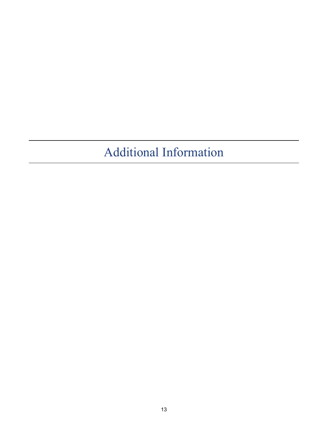# Additional Information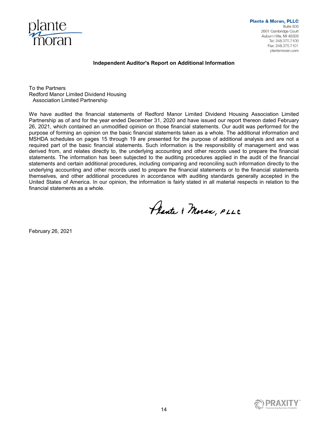

**Plante & Moran, PLLC** Suite 500 2601 Cambridge Court Auburn Hills, MI 48326 Tel: 248.375.7100 Fax: 248.375.7101 plantemoran.com

#### **Independent Auditor's Report on Additional Information**

To the Partners Redford Manor Limited Dividend Housing Association Limited Partnership

We have audited the financial statements of Redford Manor Limited Dividend Housing Association Limited Partnership as of and for the year ended December 31, 2020 and have issued our report thereon dated February 26, 2021, which contained an unmodified opinion on those financial statements. Our audit was performed for the purpose of forming an opinion on the basic financial statements taken as a whole. The additional information and MSHDA schedules on pages 15 through 19 are presented for the purpose of additional analysis and are not a required part of the basic financial statements. Such information is the responsibility of management and was derived from, and relates directly to, the underlying accounting and other records used to prepare the financial statements. The information has been subjected to the auditing procedures applied in the audit of the financial statements and certain additional procedures, including comparing and reconciling such information directly to the underlying accounting and other records used to prepare the financial statements or to the financial statements themselves, and other additional procedures in accordance with auditing standards generally accepted in the United States of America. In our opinion, the information is fairly stated in all material respects in relation to the financial statements as a whole.

Plante & Moran, PLLC

February 26, 2021

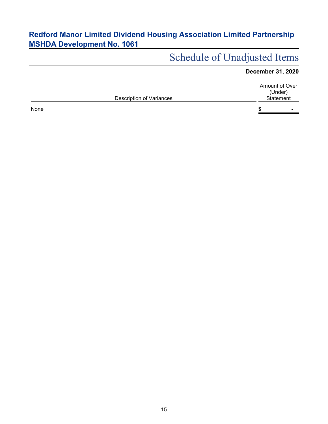# Schedule of Unadjusted Items

# **December 31, 2020**

|      | <b>Description of Variances</b> | Amount of Over<br>(Under)<br>Statement |
|------|---------------------------------|----------------------------------------|
| None |                                 | $\overline{\phantom{a}}$               |

15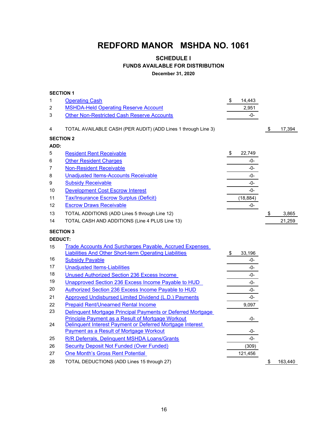# **REDFORD MANOR MSHDA NO. 1061**

**SCHEDULE I**

**FUNDS AVAILABLE FOR DISTRIBUTION**

**December 31, 2020**

| <b>SECTION 1</b> |                                                                                       |              |               |
|------------------|---------------------------------------------------------------------------------------|--------------|---------------|
| 1                | <b>Operating Cash</b>                                                                 | \$<br>14,443 |               |
| 2                | <b>MSHDA-Held Operating Reserve Account</b>                                           | 2,951        |               |
| 3                | <b>Other Non-Restricted Cash Reserve Accounts</b>                                     | -0-          |               |
| 4                | TOTAL AVAILABLE CASH (PER AUDIT) (ADD Lines 1 through Line 3)                         |              | \$<br>17,394  |
| <b>SECTION 2</b> |                                                                                       |              |               |
| ADD:             |                                                                                       |              |               |
| 5                | <b>Resident Rent Receivable</b>                                                       | \$<br>22,749 |               |
| 6                | <b>Other Resident Charges</b>                                                         | -0-          |               |
| 7                | <b>Non-Resident Receivable</b>                                                        | -0-          |               |
| 8                | <b>Unadjusted Items-Accounts Receivable</b>                                           | $-0-$        |               |
| 9                | <b>Subsidy Receivable</b>                                                             | $-0-$        |               |
| 10               | <b>Development Cost Escrow Interest</b>                                               | -0-          |               |
| 11               | <b>Tax/Insurance Escrow Surplus (Deficit)</b>                                         | (18, 884)    |               |
| 12               | <b>Escrow Draws Receivable</b>                                                        | -0-          |               |
| 13               | TOTAL ADDITIONS (ADD Lines 5 through Line 12)                                         |              | \$<br>3,865   |
| 14               | TOTAL CASH AND ADDITIONS (Line 4 PLUS Line 13)                                        |              | 21,259        |
| <b>SECTION 3</b> |                                                                                       |              |               |
| <b>DEDUCT:</b>   |                                                                                       |              |               |
| 15               | <b>Trade Accounts And Surcharges Payable, Accrued Expenses</b>                        |              |               |
|                  | Liabilities And Other Short-term Operating Liabilities                                | \$<br>33,196 |               |
| 16               | <b>Subsidy Payable</b>                                                                | -0-          |               |
| 17               | <b>Unadjusted Items-Liabilities</b>                                                   |              |               |
| 18               |                                                                                       | $-0-$        |               |
| 19               | Unused Authorized Section 236 Excess Income                                           | $-0-$        |               |
|                  | Unapproved Section 236 Excess Income Payable to HUD                                   | $-0-$        |               |
| 20               | Authorized Section 236 Excess Income Payable to HUD                                   | $-0-$        |               |
| 21               | Approved Undisbursed Limited Dividend (L.D.) Payments                                 | $-0-$        |               |
| 22               | <b>Prepaid Rent/Unearned Rental Income</b>                                            | 9,097        |               |
| 23               | Delinquent Mortgage Principal Payments or Deferred Mortgage                           |              |               |
|                  | <b>Principle Payment as a Result of Mortgage Workout</b>                              | -0-          |               |
| 24               | Delinquent Interest Payment or Deferred Mortgage Interest                             |              |               |
|                  | Payment as a Result of Mortgage Workout                                               | -0-          |               |
| 25               | R/R Deferrals, Delinquent MSHDA Loans/Grants                                          | $-0-$        |               |
| 26               | <b>Security Deposit Not Funded (Over Funded)</b>                                      | (309)        |               |
| 27<br>28         | <b>One Month's Gross Rent Potential</b><br>TOTAL DEDUCTIONS (ADD Lines 15 through 27) | 121,456      | \$<br>163,440 |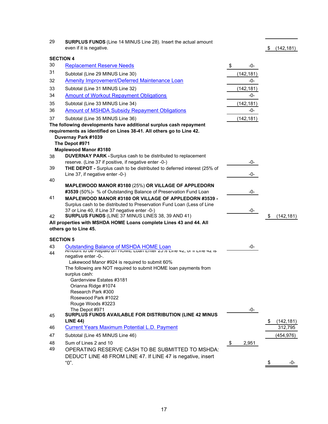| 29               | <b>SURPLUS FUNDS</b> (Line 14 MINUS Line 28). Insert the actual amount<br>even if it is negative.                                                                                                                                                                                                                                                                                                 |             | S. | (142, 181)            |
|------------------|---------------------------------------------------------------------------------------------------------------------------------------------------------------------------------------------------------------------------------------------------------------------------------------------------------------------------------------------------------------------------------------------------|-------------|----|-----------------------|
| <b>SECTION 4</b> |                                                                                                                                                                                                                                                                                                                                                                                                   |             |    |                       |
| 30               | <b>Replacement Reserve Needs</b>                                                                                                                                                                                                                                                                                                                                                                  | \$<br>-0-   |    |                       |
| 31               | Subtotal (Line 29 MINUS Line 30)                                                                                                                                                                                                                                                                                                                                                                  | (142, 181)  |    |                       |
| 32               | <b>Amenity Improvement/Deferred Maintenance Loan</b>                                                                                                                                                                                                                                                                                                                                              | $-0-$       |    |                       |
| 33               | Subtotal (Line 31 MINUS Line 32)                                                                                                                                                                                                                                                                                                                                                                  | (142, 181)  |    |                       |
| 34               | <b>Amount of Workout Repayment Obligations</b>                                                                                                                                                                                                                                                                                                                                                    | -0-         |    |                       |
| 35               | Subtotal (Line 33 MINUS Line 34)                                                                                                                                                                                                                                                                                                                                                                  | (142, 181)  |    |                       |
| 36               | Amount of MSHDA Subsidy Repayment Obligations                                                                                                                                                                                                                                                                                                                                                     | -0-         |    |                       |
| 37               | Subtotal (Line 35 MINUS Line 36)                                                                                                                                                                                                                                                                                                                                                                  | (142, 181)  |    |                       |
|                  | The following developments have additional surplus cash repayment<br>requirements as identified on Lines 38-41. All others go to Line 42.<br>Duvernay Park #1039<br>The Depot #971<br><b>Maplewood Manor #3180</b>                                                                                                                                                                                |             |    |                       |
| 38               | <b>DUVERNAY PARK - Surplus cash to be distributed to replacement</b><br>reserve. (Line 37 if positive, if negative enter -0-)                                                                                                                                                                                                                                                                     | -0-         |    |                       |
| 39               | THE DEPOT - Surplus cash to be distributed to deferred interest (25% of                                                                                                                                                                                                                                                                                                                           |             |    |                       |
|                  | Line 37, if negative enter -0-)                                                                                                                                                                                                                                                                                                                                                                   | -0-         |    |                       |
| 40               | MAPLEWOOD MANOR #3180 (25%) OR VILLAGE OF APPLEDORN                                                                                                                                                                                                                                                                                                                                               |             |    |                       |
|                  | #3539 (50%)- % of Outstanding Balance of Preservation Fund Loan                                                                                                                                                                                                                                                                                                                                   | -0-         |    |                       |
| 41               | <b>MAPLEWOOD MANOR #3180 OR VILLAGE OF APPLEDORN #3539 -</b>                                                                                                                                                                                                                                                                                                                                      |             |    |                       |
| 42               | Surplus cash to be distributed to Preservation Fund Loan (Less of Line<br>37 or Line 40, if Line 37 negative enter -0-)<br>SURPLUS FUNDS (LINE 37 MINUS LINES 38, 39 AND 41)<br>All properties with MSHDA HOME Loans complete Lines 43 and 44. All<br>others go to Line 45.                                                                                                                       | -0-         | \$ | (142, 181)            |
| <b>SECTION 5</b> |                                                                                                                                                                                                                                                                                                                                                                                                   |             |    |                       |
| 43<br>44         | Outstanding Balance of MSHDA HOME Loan<br>Amount to be Repart on Home Loan Enter 2070 Line 42, or in Line 42 is<br>negative enter -0-.<br>Lakewood Manor #924 is required to submit 60%<br>The following are NOT required to submit HOME loan payments from<br>surplus cash:<br>Gardenview Estates #3181<br>Orianna Ridge #1074<br>Research Park #300<br>Rosewood Park #1022<br>Rouge Woods #3223 | -0-         |    |                       |
|                  | The Depot #971                                                                                                                                                                                                                                                                                                                                                                                    | -0-         |    |                       |
| 45               | SURPLUS FUNDS AVAILABLE FOR DISTRIBUTION (LINE 42 MINUS                                                                                                                                                                                                                                                                                                                                           |             |    |                       |
| 46               | <b>LINE 44)</b><br><b>Current Years Maximum Potential L.D. Payment</b>                                                                                                                                                                                                                                                                                                                            |             | \$ | (142, 181)<br>312,795 |
|                  |                                                                                                                                                                                                                                                                                                                                                                                                   |             |    |                       |
| 47               | Subtotal (Line 45 MINUS Line 46)                                                                                                                                                                                                                                                                                                                                                                  |             |    | (454,976)             |
| 48<br>49         | Sum of Lines 2 and 10<br>OPERATING RESERVE CASH TO BE SUBMITTED TO MSHDA:                                                                                                                                                                                                                                                                                                                         | \$<br>2,951 |    |                       |
|                  | DEDUCT LINE 48 FROM LINE 47. If LINE 47 is negative, insert<br>"0".                                                                                                                                                                                                                                                                                                                               |             | \$ | -0-                   |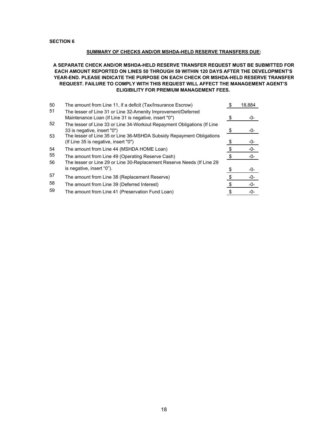#### **SUMMARY OF CHECKS AND/OR MSHDA-HELD RESERVE TRANSFERS DUE:**

### **A SEPARATE CHECK AND/OR MSHDA-HELD RESERVE TRANSFER REQUEST MUST BE SUBMITTED FOR EACH AMOUNT REPORTED ON LINES 50 THROUGH 59 WITHIN 120 DAYS AFTER THE DEVELOPMENT'S YEAR-END. PLEASE INDICATE THE PURPOSE ON EACH CHECK OR MSHDA-HELD RESERVE TRANSFER REQUEST. FAILURE TO COMPLY WITH THIS REQUEST WILL AFFECT THE MANAGEMENT AGENT'S ELIGIBILITY FOR PREMIUM MANAGEMENT FEES.**

| 50 | The amount from Line 11, if a deficit (Tax/Insurance Escrow)                                                           | 18,884    |
|----|------------------------------------------------------------------------------------------------------------------------|-----------|
| 51 | The lesser of Line 31 or Line 32-Amenity Improvement/Deferred<br>Maintenance Loan (If Line 31 is negative, insert "0") | -()-      |
| 52 | The lesser of Line 33 or Line 34-Workout Repayment Obligations (If Line<br>33 is negative, insert "0")                 | \$        |
| 53 | The lesser of Line 35 or Line 36-MSHDA Subsidy Repayment Obligations<br>(If Line 35 is negative, insert "0")           | -0-       |
| 54 | The amount from Line 44 (MSHDA HOME Loan)                                                                              | -0-       |
| 55 | The amount from Line 49 (Operating Reserve Cash)                                                                       | \$<br>-0- |
| 56 | The lesser or Line 29 or Line 30-Replacement Reserve Needs (If Line 29                                                 |           |
|    | is negative, insert "0").                                                                                              | -0-       |
| 57 | The amount from Line 38 (Replacement Reserve)                                                                          | -0-       |
| 58 | The amount from Line 39 (Deferred Interest)                                                                            | -0-       |
| 59 | The amount from Line 41 (Preservation Fund Loan)                                                                       | -0-       |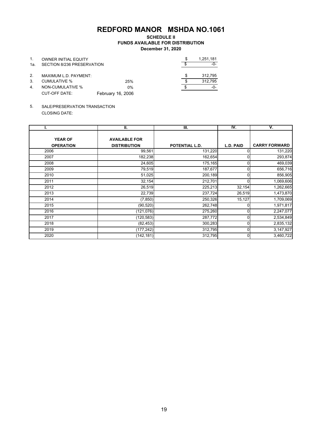# **REDFORD MANOR MSHDA NO.1061**

#### **SCHEDULE II FUNDS AVAILABLE FOR DISTRIBUTION December 31, 2020**

| 1.<br>1a.        | OWNER INITIAL EQUITY<br>SECTION 8/236 PRESERVATION |                   | 1,251,181<br>-0- |
|------------------|----------------------------------------------------|-------------------|------------------|
| 2.               | MAXIMUM L.D. PAYMENT:                              |                   | \$<br>312,795    |
| 3.               | <b>CUMULATIVE %</b>                                | 25%               | 312.795          |
| $\overline{4}$ . | NON-CUMULATIVE %                                   | $0\%$             | -0-              |
|                  | <b>CUT-OFF DATE:</b>                               | February 16, 2006 |                  |

5. SALE/PRESERVATION TRANSACTION CLOSING DATE:

| ъ.                                 | Ш.                                          | TII.           | IV.       | v.                   |
|------------------------------------|---------------------------------------------|----------------|-----------|----------------------|
| <b>YEAR OF</b><br><b>OPERATION</b> | <b>AVAILABLE FOR</b><br><b>DISTRIBUTION</b> | POTENTIAL L.D. | L.D. PAID | <b>CARRY FORWARD</b> |
| 2006                               | 99,561                                      | 131,220        |           | 131,220              |
| 2007                               | 182,238                                     | 162,654        | 0         | 293,874              |
| 2008                               | 24,605                                      | 175,165        | 0         | 469,039              |
| 2009                               | 79,519                                      | 187,677        | 0         | 656,716              |
| 2010                               | 51,025                                      | 200,189        | 0         | 856,905              |
| 2011                               | 32,154                                      | 212,701        | 0         | 1,069,606            |
| 2012                               | 26,519                                      | 225,213        | 32,154    | 1,262,665            |
| 2013                               | 22,739                                      | 237,724        | 26,519    | 1,473,870            |
| 2014                               | (7, 850)                                    | 250,326        | 15,127    | 1,709,069            |
| 2015                               | (90, 520)                                   | 262,748        | 0         | 1,971,817            |
| 2016                               | (121, 076)                                  | 275,260        | 0         | 2,247,077            |
| 2017                               | (120, 583)                                  | 287,772        | 0         | 2,534,849            |
| 2018                               | (82, 453)                                   | 300,283        | 0         | 2,835,132            |
| 2019                               | (177, 242)                                  | 312,795        | 0         | 3,147,927            |
| 2020                               | (142, 181)                                  | 312,795        | 0         | 3,460,722            |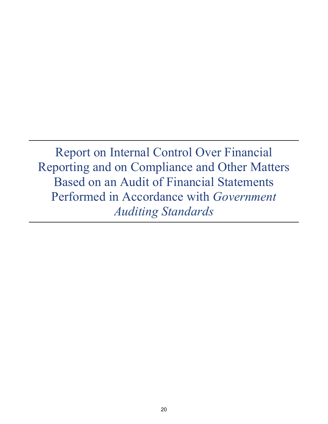Report on Internal Control Over Financial Reporting and on Compliance and Other Matters Based on an Audit of Financial Statements Performed in Accordance with *Government Auditing Standards*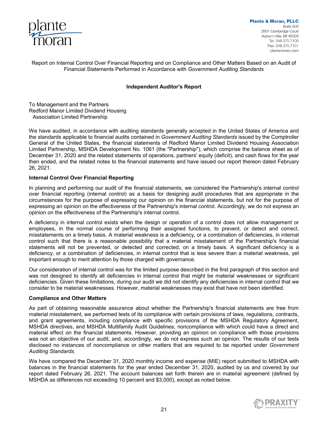

Report on Internal Control Over Financial Reporting and on Compliance and Other Matters Based on an Audit of Financial Statements Performed in Accordance with *Government Auditing Standards*

### **Independent Auditor's Report**

To Management and the Partners Redford Manor Limited Dividend Housing Association Limited Partnership

We have audited, in accordance with auditing standards generally accepted in the United States of America and the standards applicable to financial audits contained in *Government Auditing Standards* issued by the Comptroller General of the United States, the financial statements of Redford Manor Limited Dividend Housing Association Limited Partnership, MSHDA Development No. 1061 (the "Partnership"), which comprise the balance sheet as of December 31, 2020 and the related statements of operations, partners' equity (deficit), and cash flows for the year then ended, and the related notes to the financial statements and have issued our report thereon dated February 26, 2021.

### **Internal Control Over Financial Reporting**

In planning and performing our audit of the financial statements, we considered the Partnership's internal control over financial reporting (internal control) as a basis for designing audit procedures that are appropriate in the circumstances for the purpose of expressing our opinion on the financial statements, but not for the purpose of expressing an opinion on the effectiveness of the Partnership's internal control. Accordingly, we do not express an opinion on the effectiveness of the Partnership's internal control.

A deficiency in internal control exists when the design or operation of a control does not allow management or employees, in the normal course of performing their assigned functions, to prevent, or detect and correct, misstatements on a timely basis. A material weakness is a deficiency, or a combination of deficiencies, in internal control such that there is a reasonable possibility that a material misstatement of the Partnership's financial statements will not be prevented, or detected and corrected, on a timely basis. A significant deficiency is a deficiency, or a combination of deficiencies, in internal control that is less severe than a material weakness, yet important enough to merit attention by those charged with governance.

Our consideration of internal control was for the limited purpose described in the first paragraph of this section and was not designed to identify all deficiencies in internal control that might be material weaknesses or significant deficiencies. Given these limitations, during our audit we did not identify any deficiencies in internal control that we consider to be material weaknesses. However, material weaknesses may exist that have not been identified.

### **Compliance and Other Matters**

As part of obtaining reasonable assurance about whether the Partnership's financial statements are free from material misstatement, we performed tests of its compliance with certain provisions of laws, regulations, contracts, and grant agreements, including compliance with specific provisions of the MSHDA Regulatory Agreement, MSHDA directives, and MSHDA Multifamily Audit Guidelines, noncompliance with which could have a direct and material effect on the financial statements. However, providing an opinion on compliance with those provisions was not an objective of our audit, and, accordingly, we do not express such an opinion. The results of our tests disclosed no instances of noncompliance or other matters that are required to be reported under *Government Auditing Standards.* 

We have compared the December 31, 2020 monthly income and expense (MIE) report submitted to MSHDA with balances in the financial statements for the year ended December 31, 2020, audited by us and covered by our report dated February 26, 2021. The account balances set forth therein are in material agreement (defined by MSHDA as differences not exceeding 10 percent and \$3,000), except as noted below.